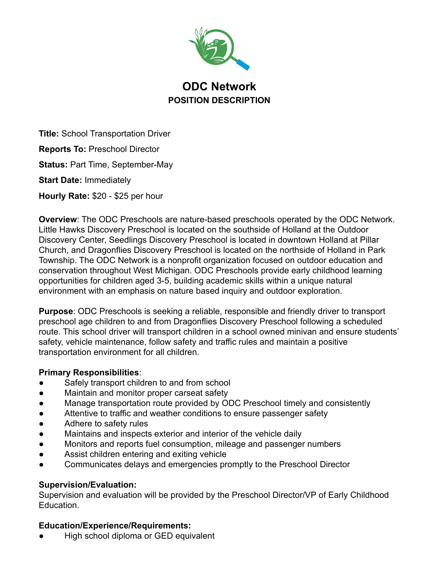

# **ODC Network POSITION DESCRIPTION**

**Title:** School Transportation Driver

**Reports To:** Preschool Director

**Status:** Part Time, September-May

**Start Date:** Immediately

**Hourly Rate:** \$20 - \$25 per hour

**Overview**: The ODC Preschools are nature-based preschools operated by the ODC Network. Little Hawks Discovery Preschool is located on the southside of Holland at the Outdoor Discovery Center, Seedlings Discovery Preschool is located in downtown Holland at Pillar Church, and Dragonflies Discovery Preschool is located on the northside of Holland in Park Township. The ODC Network is a nonprofit organization focused on outdoor education and conservation throughout West Michigan. ODC Preschools provide early childhood learning opportunities for children aged 3-5, building academic skills within a unique natural environment with an emphasis on nature based inquiry and outdoor exploration.

**Purpose**: ODC Preschools is seeking a reliable, responsible and friendly driver to transport preschool age children to and from Dragonflies Discovery Preschool following a scheduled route. This school driver will transport children in a school owned minivan and ensure students' safety, vehicle maintenance, follow safety and traffic rules and maintain a positive transportation environment for all children.

### **Primary Responsibilities**:

- Safely transport children to and from school
- Maintain and monitor proper carseat safety
- Manage transportation route provided by ODC Preschool timely and consistently
- Attentive to traffic and weather conditions to ensure passenger safety
- Adhere to safety rules
- Maintains and inspects exterior and interior of the vehicle daily
- Monitors and reports fuel consumption, mileage and passenger numbers
- Assist children entering and exiting vehicle
- Communicates delays and emergencies promptly to the Preschool Director

### **Supervision/Evaluation:**

Supervision and evaluation will be provided by the Preschool Director/VP of Early Childhood Education.

# **Education/Experience/Requirements:**

High school diploma or GED equivalent